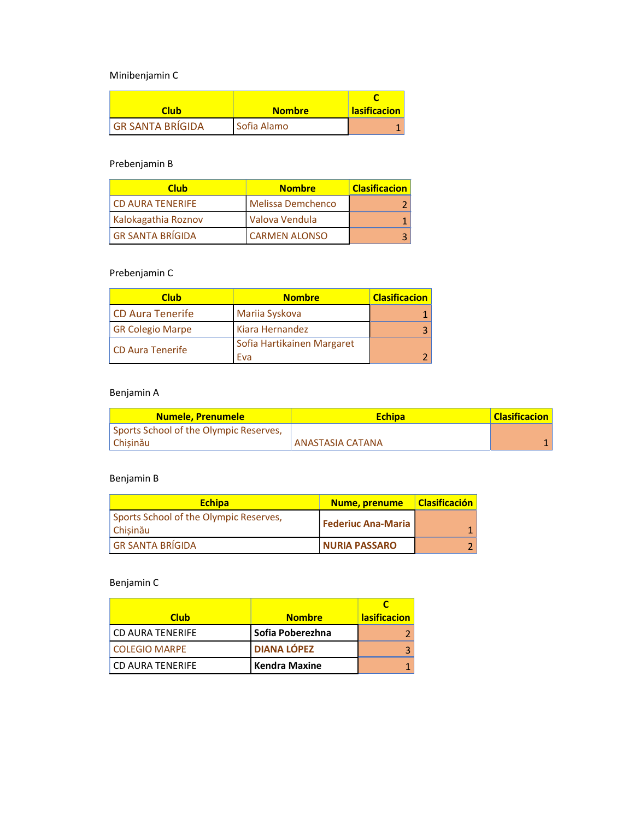Minibenjamin C

| Club                    | <b>Nombre</b> | <b>lasificacion</b> |
|-------------------------|---------------|---------------------|
| <b>GR SANTA BRÍGIDA</b> | Sofia Alamo   |                     |

# Prebenjamin B

| <b>Club</b>             | <b>Nombre</b>            | <b>Clasificacion</b> |
|-------------------------|--------------------------|----------------------|
| <b>CD AURA TENERIFE</b> | <b>Melissa Demchenco</b> |                      |
| Kalokagathia Roznov     | Valova Vendula           |                      |
| <b>GR SANTA BRÍGIDA</b> | <b>CARMEN ALONSO</b>     |                      |

### Prebenjamin C

| <b>Club</b>             | <b>Nombre</b>              | <b>Clasificacion</b> |
|-------------------------|----------------------------|----------------------|
| CD Aura Tenerife        | Mariia Syskova             |                      |
| <b>GR Colegio Marpe</b> | Kiara Hernandez            |                      |
| CD Aura Tenerife        | Sofia Hartikainen Margaret |                      |
|                         | Eva                        |                      |

# Benjamin A

| <b>Numele, Prenumele</b>               | <b>Echipa</b>    | <b>Clasificacion</b> |
|----------------------------------------|------------------|----------------------|
| Sports School of the Olympic Reserves, |                  |                      |
| Chisinău                               | ANASTASIA CATANA |                      |

### Benjamin B

| <b>Echipa</b>                                      | <b>Nume, prenume</b>      | <b>Clasificación</b> |
|----------------------------------------------------|---------------------------|----------------------|
| Sports School of the Olympic Reserves,<br>Chisinău | <b>Federiuc Ana-Maria</b> |                      |
| <b>GR SANTA BRÍGIDA</b>                            | <b>NURIA PASSARO</b>      |                      |

# Benjamin C

| <b>Club</b>          | <b>Nombre</b>        | <b>lasificacion</b> |
|----------------------|----------------------|---------------------|
| CD AURA TENERIFE     | l Sofia Poberezhna   |                     |
| <b>COLEGIO MARPE</b> | <b>DIANA LÓPEZ</b>   |                     |
| CD AURA TENERIFE     | <b>Kendra Maxine</b> |                     |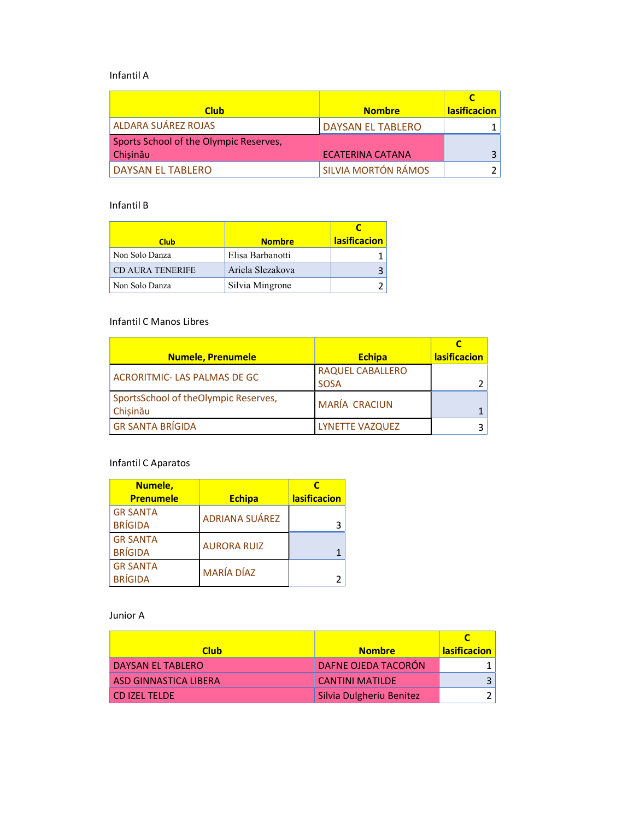#### Infantil A

| <b>Club</b>                            | <b>Nombre</b>            | <b>lasificacion</b> |
|----------------------------------------|--------------------------|---------------------|
| ALDARA SUÁREZ ROJAS                    | <b>DAYSAN EL TABLERO</b> |                     |
| Sports School of the Olympic Reserves, |                          |                     |
| Chisinău                               | <b>ECATERINA CATANA</b>  |                     |
| <b>DAYSAN EL TABLERO</b>               | SILVIA MORTÓN RÁMOS      |                     |

#### Infantil B

| <b>Club</b>             | <b>Nombre</b>    | <b>lasificacion</b> |
|-------------------------|------------------|---------------------|
| Non Solo Danza          | Elisa Barbanotti |                     |
| <b>CD AURA TENERIFE</b> | Ariela Slezakova |                     |
| Non Solo Danza          | Silvia Mingrone  |                     |

#### Infantil C Manos Libres

| <b>Numele, Prenumele</b>                         | <b>Echipa</b>                          | <b>lasificacion</b> |
|--------------------------------------------------|----------------------------------------|---------------------|
| ACRORITMIC-LAS PALMAS DE GC                      | <b>RAQUEL CABALLERO</b><br><b>SOSA</b> |                     |
| SportsSchool of theOlympic Reserves,<br>Chisinău | <b>MARÍA CRACIUN</b>                   |                     |
| <b>GR SANTA BRÍGIDA</b>                          | <b>LYNETTE VAZQUEZ</b>                 |                     |

# Infantil C Aparatos

| Numele,<br><b>Prenumele</b>       | <b>Echipa</b>         | <b>lasificacion</b> |
|-----------------------------------|-----------------------|---------------------|
| <b>GR SANTA</b><br><b>BRÍGIDA</b> | <b>ADRIANA SUÁREZ</b> | 3                   |
| <b>GR SANTA</b><br><b>BRÍGIDA</b> | <b>AURORA RUIZ</b>    |                     |
| <b>GR SANTA</b><br><b>BRÍGIDA</b> | <b>MARÍA DÍAZ</b>     |                     |

#### Junior A

| <b>Club</b>              | <b>Nombre</b>              | <b>lasificacion</b> |
|--------------------------|----------------------------|---------------------|
| <b>DAYSAN EL TABLERO</b> | <b>DAFNE OJEDA TACORÓN</b> |                     |
| ASD GINNASTICA LIBERA    | <b>CANTINI MATILDE</b>     |                     |
| <b>CD IZEL TELDE</b>     | Silvia Dulgheriu Benitez   |                     |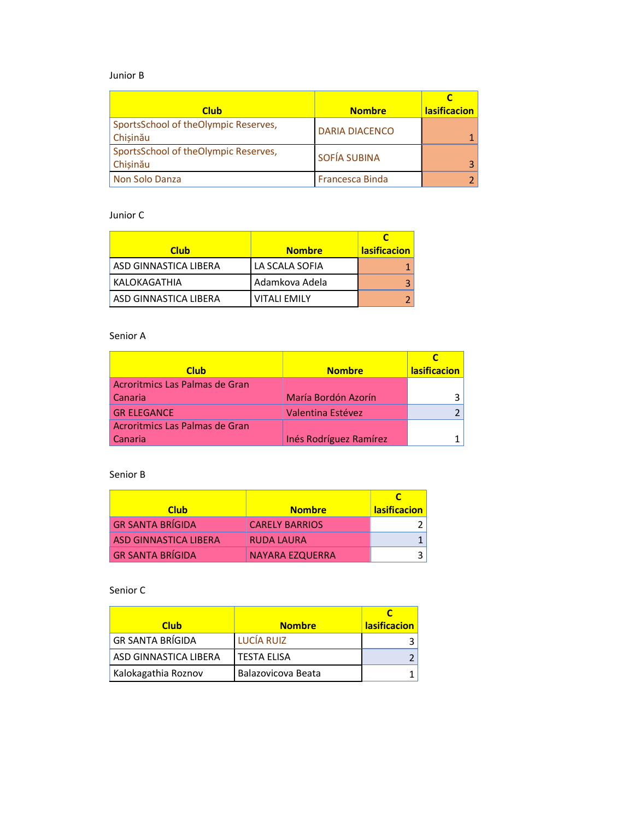#### Junior B

| <b>Club</b>                                      | <b>Nombre</b>         | <b>lasificacion</b> |
|--------------------------------------------------|-----------------------|---------------------|
| SportsSchool of theOlympic Reserves,<br>Chisinău | <b>DARIA DIACENCO</b> |                     |
| SportsSchool of theOlympic Reserves,<br>Chisinău | SOFÍA SUBINA          | 3 I                 |
| Non Solo Danza                                   | Francesca Binda       |                     |

#### Junior C

| <b>Club</b>           | <b>Nombre</b>       | <b>lasificacion</b> |
|-----------------------|---------------------|---------------------|
| ASD GINNASTICA LIBERA | LA SCALA SOFIA      |                     |
| KALOKAGATHIA          | l Adamkova Adela    |                     |
| ASD GINNASTICA LIBERA | <b>VITALI EMILY</b> |                     |

#### Senior A

| <b>Club</b>                    | <b>Nombre</b>          | <b>lasificacion</b> |
|--------------------------------|------------------------|---------------------|
| Acroritmics Las Palmas de Gran |                        |                     |
| Canaria                        | María Bordón Azorín    |                     |
| <b>GR ELEGANCE</b>             | Valentina Estévez      |                     |
| Acroritmics Las Palmas de Gran |                        |                     |
| Canaria                        | Inés Rodríguez Ramírez |                     |

#### Senior B

| <b>Club</b>             | <b>Nombre</b>         | <b>lasificacion</b> |
|-------------------------|-----------------------|---------------------|
| <b>GR SANTA BRÍGIDA</b> | <b>CARELY BARRIOS</b> |                     |
| ASD GINNASTICA LIBERA   | <b>RUDA LAURA</b>     |                     |
| <b>GR SANTA BRÍGIDA</b> | NAYARA EZQUERRA       |                     |

#### Senior C

| <b>Club</b>             | <b>Nombre</b>      | <b>lasificacion</b> |
|-------------------------|--------------------|---------------------|
| <b>GR SANTA BRÍGIDA</b> | <b>LUCÍA RUIZ</b>  |                     |
| ASD GINNASTICA LIBERA   | <b>TESTA ELISA</b> |                     |
| Kalokagathia Roznov     | Balazovicova Beata |                     |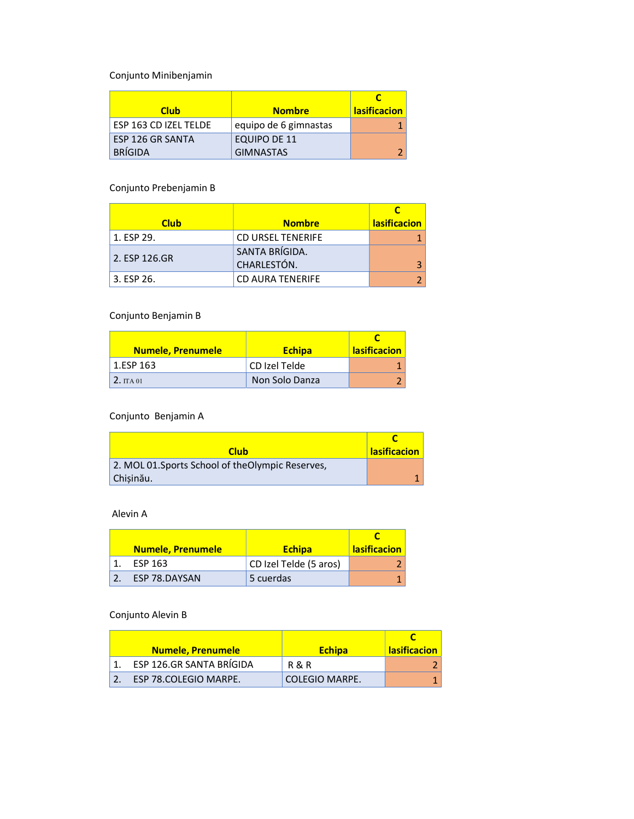Conjunto Minibenjamin

| <b>Club</b>           | <b>Nombre</b>         | <b>lasificacion</b> |
|-----------------------|-----------------------|---------------------|
| ESP 163 CD IZEL TELDE | equipo de 6 gimnastas |                     |
| ESP 126 GR SANTA      | EQUIPO DE 11          |                     |
| <b>BRÍGIDA</b>        | <b>GIMNASTAS</b>      | e                   |

### Conjunto Prebenjamin B

| <b>Club</b>   | <b>Nombre</b>            | <b>lasificacion</b> |
|---------------|--------------------------|---------------------|
| 1. ESP 29.    | <b>CD URSEL TENERIFE</b> |                     |
| 2. ESP 126.GR | SANTA BRÍGIDA.           |                     |
|               | CHARLESTÓN.              |                     |
| 3. ESP 26.    | <b>CD AURA TENERIFE</b>  |                     |

# Conjunto Benjamin B

| <b>Numele, Prenumele</b> | <b>Echipa</b>  | <b>lasificacion</b> |
|--------------------------|----------------|---------------------|
| 1.ESP 163                | CD Izel Telde  |                     |
| 2.TTA01                  | Non Solo Danza |                     |

### Conjunto Benjamin A

| Club                                              | <b>lasificacion</b> |
|---------------------------------------------------|---------------------|
| 2. MOL 01. Sports School of the Olympic Reserves, |                     |
| Chisinău.                                         |                     |

#### Alevin A

| <b>Numele, Prenumele</b> | <b>Echipa</b>          | <b>lasificacion</b> |
|--------------------------|------------------------|---------------------|
| ESP 163                  | CD Izel Telde (5 aros) |                     |
| ESP 78.DAYSAN            | 5 cuerdas              |                     |

#### Conjunto Alevin B

| <b>Numele, Prenumele</b> | <b>Echipa</b>    | <b>lasificacion</b> |
|--------------------------|------------------|---------------------|
| ESP 126.GR SANTA BRÍGIDA | <b>R &amp; R</b> |                     |
| ESP 78.COLEGIO MARPE.    | COLEGIO MARPE.   |                     |